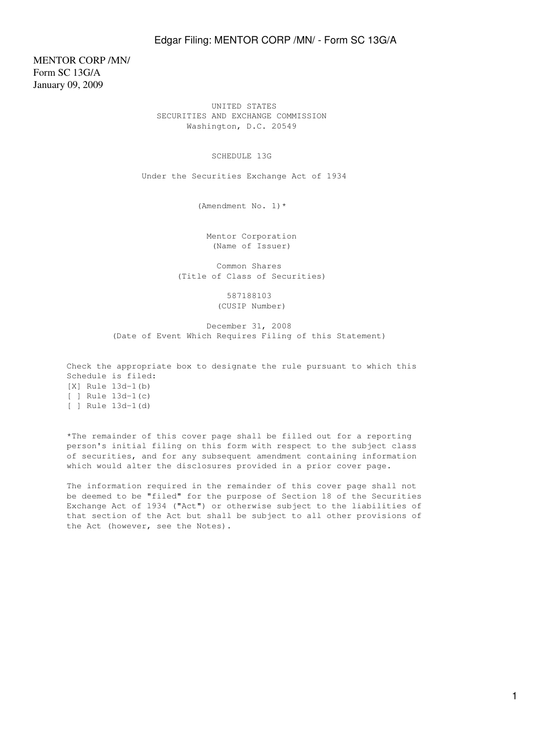MENTOR CORP /MN/ Form SC 13G/A January 09, 2009

> UNITED STATES SECURITIES AND EXCHANGE COMMISSION Washington, D.C. 20549

#### SCHEDULE 13G

Under the Securities Exchange Act of 1934

(Amendment No. 1)\*

 Mentor Corporation (Name of Issuer)

 Common Shares (Title of Class of Securities)

> 587188103 (CUSIP Number)

 December 31, 2008 (Date of Event Which Requires Filing of this Statement)

Check the appropriate box to designate the rule pursuant to which this Schedule is filed: [X] Rule 13d-1(b) [ ] Rule 13d-1(c) [ ] Rule 13d-1(d)

\*The remainder of this cover page shall be filled out for a reporting person's initial filing on this form with respect to the subject class of securities, and for any subsequent amendment containing information which would alter the disclosures provided in a prior cover page.

The information required in the remainder of this cover page shall not be deemed to be "filed" for the purpose of Section 18 of the Securities Exchange Act of 1934 ("Act") or otherwise subject to the liabilities of that section of the Act but shall be subject to all other provisions of the Act (however, see the Notes).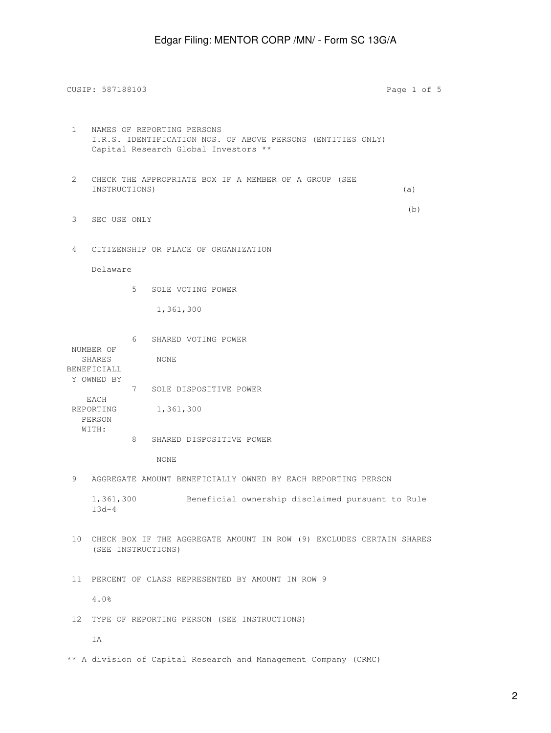CUSIP: 587188103 Page 1 of 5 1 NAMES OF REPORTING PERSONS I.R.S. IDENTIFICATION NOS. OF ABOVE PERSONS (ENTITIES ONLY) Capital Research Global Investors \*\* 2 CHECK THE APPROPRIATE BOX IF A MEMBER OF A GROUP (SEE INSTRUCTIONS) (a) (b) 3 SEC USE ONLY 4 CITIZENSHIP OR PLACE OF ORGANIZATION Delaware 5 SOLE VOTING POWER 1,361,300 6 SHARED VOTING POWER NUMBER OF SHARES NONE BENEFICIALL Y OWNED BY 7 SOLE DISPOSITIVE POWER EACH REPORTING 1,361,300 PERSON WITH: 8 SHARED DISPOSITIVE POWER NONE 9 AGGREGATE AMOUNT BENEFICIALLY OWNED BY EACH REPORTING PERSON 1,361,300 Beneficial ownership disclaimed pursuant to Rule 13d-4 10 CHECK BOX IF THE AGGREGATE AMOUNT IN ROW (9) EXCLUDES CERTAIN SHARES (SEE INSTRUCTIONS) 11 PERCENT OF CLASS REPRESENTED BY AMOUNT IN ROW 9 4.0% 12 TYPE OF REPORTING PERSON (SEE INSTRUCTIONS) IA

\*\* A division of Capital Research and Management Company (CRMC)

2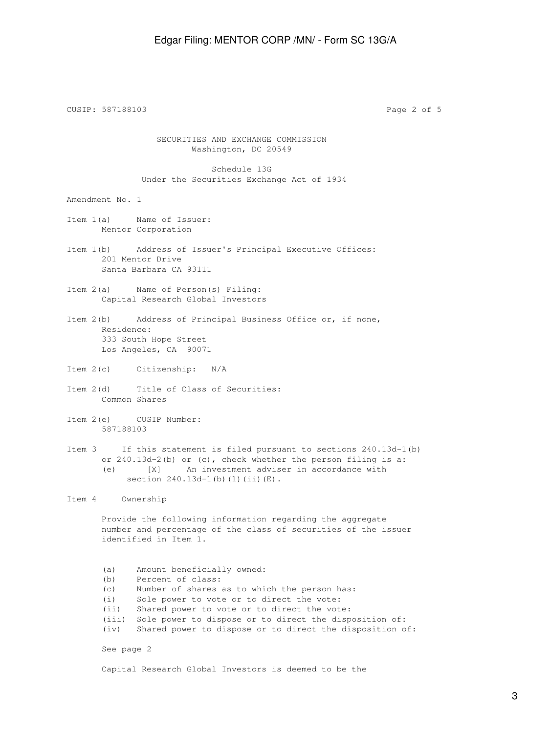CUSIP: 587188103 Page 2 of 5 SECURITIES AND EXCHANGE COMMISSION Washington, DC 20549 Schedule 13G Under the Securities Exchange Act of 1934 Amendment No. 1 Item 1(a) Name of Issuer: Mentor Corporation Item 1(b) Address of Issuer's Principal Executive Offices: 201 Mentor Drive Santa Barbara CA 93111 Item 2(a) Name of Person(s) Filing: Capital Research Global Investors Item 2(b) Address of Principal Business Office or, if none, Residence: 333 South Hope Street Los Angeles, CA 90071 Item 2(c) Citizenship: N/A Item 2(d) Title of Class of Securities: Common Shares Item 2(e) CUSIP Number: 587188103 Item 3 If this statement is filed pursuant to sections 240.13d-1(b) or 240.13d-2(b) or (c), check whether the person filing is a: (e) [X] An investment adviser in accordance with section 240.13d-1(b)(1)(ii)(E). Item 4 Ownership Provide the following information regarding the aggregate number and percentage of the class of securities of the issuer identified in Item 1. (a) Amount beneficially owned: (b) Percent of class: (c) Number of shares as to which the person has: (i) Sole power to vote or to direct the vote: (ii) Shared power to vote or to direct the vote: (iii) Sole power to dispose or to direct the disposition of: (iv) Shared power to dispose or to direct the disposition of: See page 2

Capital Research Global Investors is deemed to be the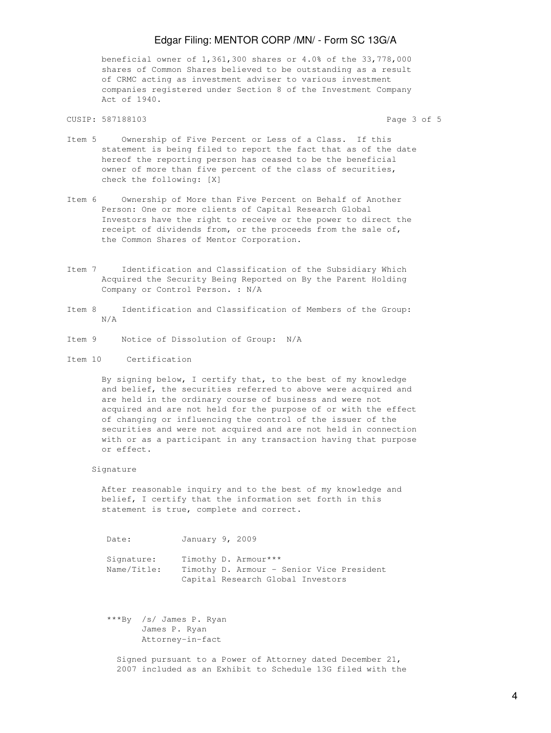beneficial owner of 1,361,300 shares or 4.0% of the 33,778,000 shares of Common Shares believed to be outstanding as a result of CRMC acting as investment adviser to various investment companies registered under Section 8 of the Investment Company Act of 1940.

CUSIP: 587188103 Page 3 of 5

- Item 5 Ownership of Five Percent or Less of a Class. If this statement is being filed to report the fact that as of the date hereof the reporting person has ceased to be the beneficial owner of more than five percent of the class of securities, check the following: [X]
- Item 6 Ownership of More than Five Percent on Behalf of Another Person: One or more clients of Capital Research Global Investors have the right to receive or the power to direct the receipt of dividends from, or the proceeds from the sale of, the Common Shares of Mentor Corporation.
- Item 7 Identification and Classification of the Subsidiary Which Acquired the Security Being Reported on By the Parent Holding Company or Control Person. : N/A
- Item 8 Identification and Classification of Members of the Group: N/A
- Item 9 Notice of Dissolution of Group: N/A
- Item 10 Certification

 By signing below, I certify that, to the best of my knowledge and belief, the securities referred to above were acquired and are held in the ordinary course of business and were not acquired and are not held for the purpose of or with the effect of changing or influencing the control of the issuer of the securities and were not acquired and are not held in connection with or as a participant in any transaction having that purpose or effect.

Signature

 After reasonable inquiry and to the best of my knowledge and belief, I certify that the information set forth in this statement is true, complete and correct.

Date: January 9, 2009 Signature: Timothy D. Armour\*\*\* Name/Title: Timothy D. Armour - Senior Vice President Capital Research Global Investors

 \*\*\*By /s/ James P. Ryan James P. Ryan Attorney-in-fact

 Signed pursuant to a Power of Attorney dated December 21, 2007 included as an Exhibit to Schedule 13G filed with the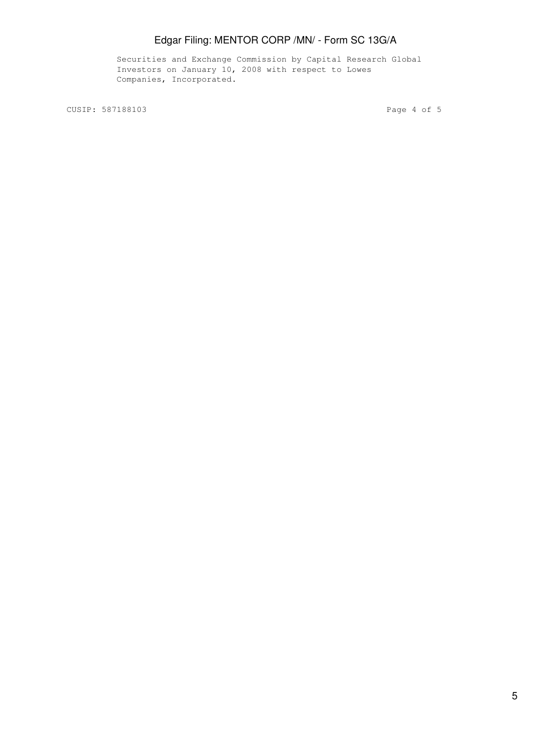Securities and Exchange Commission by Capital Research Global Investors on January 10, 2008 with respect to Lowes Companies, Incorporated.

CUSIP: 587188103 Page 4 of 5